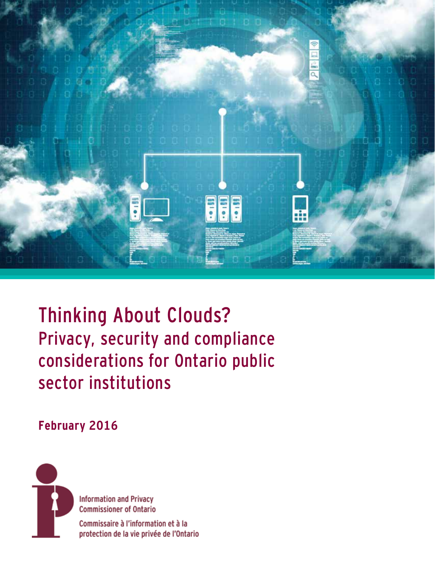

Thinking About Clouds? Privacy, security and compliance considerations for Ontario public sector institutions

# **February 2016**



**Information and Privacy Commissioner of Ontario** Commissaire à l'information et à la protection de la vie privée de l'Ontario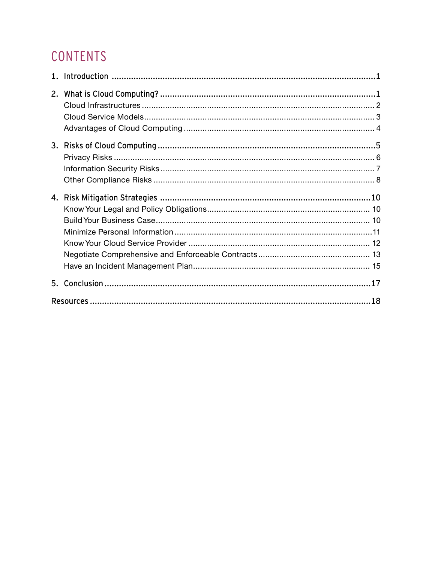# CONTENTS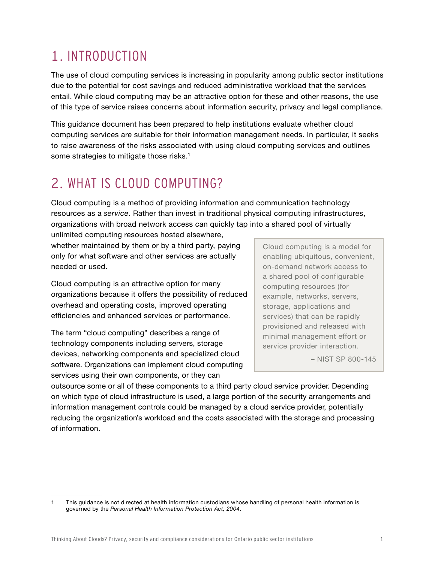# <span id="page-2-0"></span>1. INTRODUCTION

The use of cloud computing services is increasing in popularity among public sector institutions due to the potential for cost savings and reduced administrative workload that the services entail. While cloud computing may be an attractive option for these and other reasons, the use of this type of service raises concerns about information security, privacy and legal compliance.

This guidance document has been prepared to help institutions evaluate whether cloud computing services are suitable for their information management needs. In particular, it seeks to raise awareness of the risks associated with using cloud computing services and outlines some strategies to mitigate those risks.<sup>1</sup>

# 2. WHAT IS CLOUD COMPUTING?

Cloud computing is a method of providing information and communication technology resources as a *service*. Rather than invest in traditional physical computing infrastructures, organizations with broad network access can quickly tap into a shared pool of virtually

unlimited computing resources hosted elsewhere, whether maintained by them or by a third party, paying only for what software and other services are actually needed or used.

Cloud computing is an attractive option for many organizations because it offers the possibility of reduced overhead and operating costs, improved operating efficiencies and enhanced services or performance.

The term "cloud computing" describes a range of technology components including servers, storage devices, networking components and specialized cloud software. Organizations can implement cloud computing services using their own components, or they can

Cloud computing is a model for enabling ubiquitous, convenient, on-demand network access to a shared pool of configurable computing resources (for example, networks, servers, storage, applications and services) that can be rapidly provisioned and released with minimal management effort or service provider interaction.

– NIST SP 800-145

outsource some or all of these components to a third party cloud service provider. Depending on which type of cloud infrastructure is used, a large portion of the security arrangements and information management controls could be managed by a cloud service provider, potentially reducing the organization's workload and the costs associated with the storage and processing of information.

<sup>1</sup> This guidance is not directed at health information custodians whose handling of personal health information is governed by the *Personal Health Information Protection Act, 2004*.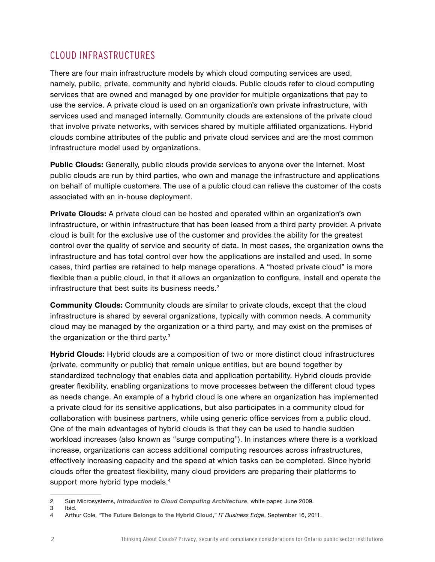# CLOUD INFRASTRUCTURES

There are four main infrastructure models by which cloud computing services are used, namely, public, private, community and hybrid clouds. Public clouds refer to cloud computing services that are owned and managed by one provider for multiple organizations that pay to use the service. A private cloud is used on an organization's own private infrastructure, with services used and managed internally. Community clouds are extensions of the private cloud that involve private networks, with services shared by multiple affiliated organizations. Hybrid clouds combine attributes of the public and private cloud services and are the most common infrastructure model used by organizations.

**Public Clouds:** Generally, public clouds provide services to anyone over the Internet. Most public clouds are run by third parties, who own and manage the infrastructure and applications on behalf of multiple customers. The use of a public cloud can relieve the customer of the costs associated with an in-house deployment.

**Private Clouds:** A private cloud can be hosted and operated within an organization's own infrastructure, or within infrastructure that has been leased from a third party provider. A private cloud is built for the exclusive use of the customer and provides the ability for the greatest control over the quality of service and security of data. In most cases, the organization owns the infrastructure and has total control over how the applications are installed and used. In some cases, third parties are retained to help manage operations. A "hosted private cloud" is more flexible than a public cloud, in that it allows an organization to configure, install and operate the infrastructure that best suits its business needs.<sup>2</sup>

**Community Clouds:** Community clouds are similar to private clouds, except that the cloud infrastructure is shared by several organizations, typically with common needs. A community cloud may be managed by the organization or a third party, and may exist on the premises of the organization or the third party.<sup>3</sup>

**Hybrid Clouds:** Hybrid clouds are a composition of two or more distinct cloud infrastructures (private, community or public) that remain unique entities, but are bound together by standardized technology that enables data and application portability. Hybrid clouds provide greater flexibility, enabling organizations to move processes between the different cloud types as needs change. An example of a hybrid cloud is one where an organization has implemented a private cloud for its sensitive applications, but also participates in a community cloud for collaboration with business partners, while using generic office services from a public cloud. One of the main advantages of hybrid clouds is that they can be used to handle sudden workload increases (also known as "surge computing"). In instances where there is a workload increase, organizations can access additional computing resources across infrastructures, effectively increasing capacity and the speed at which tasks can be completed. Since hybrid clouds offer the greatest flexibility, many cloud providers are preparing their platforms to support more hybrid type models.<sup>4</sup>

<sup>2</sup> Sun Microsystems, *[Introduction to Cloud Computing Architecture](https://java.net/jira/secure/attachment/29265/CloudComputing.pdf)*, white paper, June 2009.

<sup>3</sup> Ibid.

<sup>4</sup> Arthur Cole, "**[The Future Belongs to the Hybrid Cloud](http://www.itbusinessedge.com/cm/blogs/cole/the-future-belongs-to-the-hybrid-cloud/?cs=48627)**," *IT Business Edge*, September 16, 2011.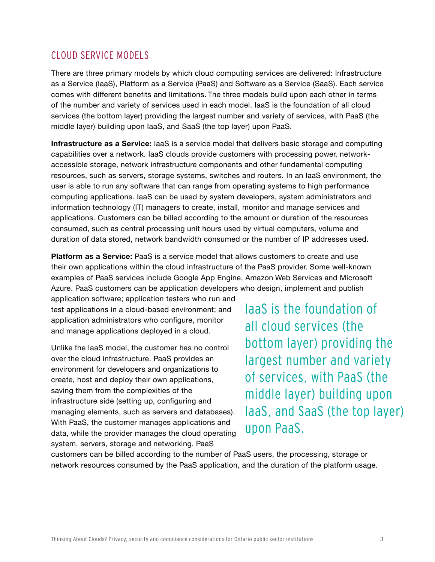## CLOUD SERVICE MODELS

There are three primary models by which cloud computing services are delivered: Infrastructure as a Service (IaaS), Platform as a Service (PaaS) and Software as a Service (SaaS). Each service comes with different benefits and limitations. The three models build upon each other in terms of the number and variety of services used in each model. IaaS is the foundation of all cloud services (the bottom layer) providing the largest number and variety of services, with PaaS (the middle layer) building upon IaaS, and SaaS (the top layer) upon PaaS.

**Infrastructure as a Service:** IaaS is a service model that delivers basic storage and computing capabilities over a network. IaaS clouds provide customers with processing power, networkaccessible storage, network infrastructure components and other fundamental computing resources, such as servers, storage systems, switches and routers. In an IaaS environment, the user is able to run any software that can range from operating systems to high performance computing applications. IaaS can be used by system developers, system administrators and information technology (IT) managers to create, install, monitor and manage services and applications. Customers can be billed according to the amount or duration of the resources consumed, such as central processing unit hours used by virtual computers, volume and duration of data stored, network bandwidth consumed or the number of IP addresses used.

**Platform as a Service:** PaaS is a service model that allows customers to create and use their own applications within the cloud infrastructure of the PaaS provider. Some well-known examples of PaaS services include Google App Engine, Amazon Web Services and Microsoft Azure. PaaS customers can be application developers who design, implement and publish

application software; application testers who run and test applications in a cloud-based environment; and application administrators who configure, monitor and manage applications deployed in a cloud.

Unlike the IaaS model, the customer has no control over the cloud infrastructure. PaaS provides an environment for developers and organizations to create, host and deploy their own applications, saving them from the complexities of the infrastructure side (setting up, configuring and managing elements, such as servers and databases). With PaaS, the customer manages applications and data, while the provider manages the cloud operating system, servers, storage and networking. PaaS

IaaS is the foundation of all cloud services (the bottom layer) providing the largest number and variety of services, with PaaS (the middle layer) building upon IaaS, and SaaS (the top layer) upon PaaS.

customers can be billed according to the number of PaaS users, the processing, storage or network resources consumed by the PaaS application, and the duration of the platform usage.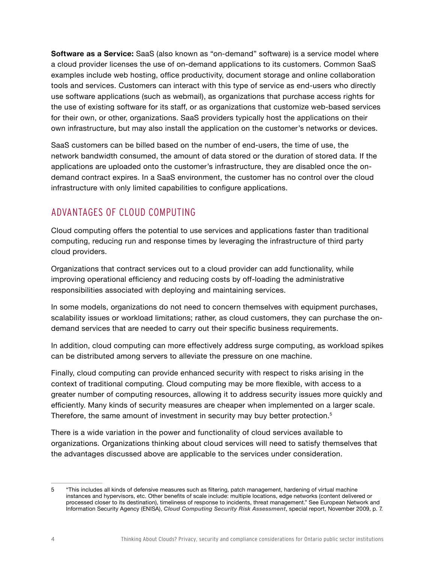**Software as a Service:** SaaS (also known as "on-demand" software) is a service model where a cloud provider licenses the use of on-demand applications to its customers. Common SaaS examples include web hosting, office productivity, document storage and online collaboration tools and services. Customers can interact with this type of service as end-users who directly use software applications (such as webmail), as organizations that purchase access rights for the use of existing software for its staff, or as organizations that customize web-based services for their own, or other, organizations. SaaS providers typically host the applications on their own infrastructure, but may also install the application on the customer's networks or devices.

SaaS customers can be billed based on the number of end-users, the time of use, the network bandwidth consumed, the amount of data stored or the duration of stored data. If the applications are uploaded onto the customer's infrastructure, they are disabled once the ondemand contract expires. In a SaaS environment, the customer has no control over the cloud infrastructure with only limited capabilities to configure applications.

# ADVANTAGES OF CLOUD COMPUTING

Cloud computing offers the potential to use services and applications faster than traditional computing, reducing run and response times by leveraging the infrastructure of third party cloud providers.

Organizations that contract services out to a cloud provider can add functionality, while improving operational efficiency and reducing costs by off-loading the administrative responsibilities associated with deploying and maintaining services.

In some models, organizations do not need to concern themselves with equipment purchases, scalability issues or workload limitations; rather, as cloud customers, they can purchase the ondemand services that are needed to carry out their specific business requirements.

In addition, cloud computing can more effectively address surge computing, as workload spikes can be distributed among servers to alleviate the pressure on one machine.

Finally, cloud computing can provide enhanced security with respect to risks arising in the context of traditional computing. Cloud computing may be more flexible, with access to a greater number of computing resources, allowing it to address security issues more quickly and efficiently. Many kinds of security measures are cheaper when implemented on a larger scale. Therefore, the same amount of investment in security may buy better protection.<sup>5</sup>

There is a wide variation in the power and functionality of cloud services available to organizations. Organizations thinking about cloud services will need to satisfy themselves that the advantages discussed above are applicable to the services under consideration.

<sup>5</sup> "This includes all kinds of defensive measures such as filtering, patch management, hardening of virtual machine instances and hypervisors, etc. Other benefits of scale include: multiple locations, edge networks (content delivered or processed closer to its destination), timeliness of response to incidents, threat management." See European Network and Information Security Agency (ENISA), *[Cloud Computing Security Risk Assessment](https://www.enisa.europa.eu/activities/risk-management/files/deliverables/cloud-computing-risk-assessment)*, special report, November 2009, p. 7.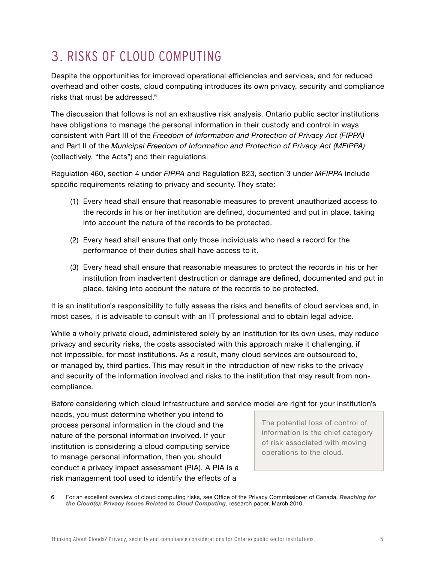# <span id="page-6-0"></span>3. RISKS OF CLOUD COMPUTING

Despite the opportunities for improved operational efficiencies and services, and for reduced overhead and other costs, cloud computing introduces its own privacy, security and compliance risks that must be addressed.6

The discussion that follows is not an exhaustive risk analysis. Ontario public sector institutions have obligations to manage the personal information in their custody and control in ways consistent with Part III of the *Freedom of Information and Protection of Privacy Act (FIPPA)* and Part II of the *Municipal Freedom of Information and Protection of Privacy Act (MFIPPA)* (collectively, "the Acts") and their regulations.

Regulation 460, section 4 under *FIPPA* and Regulation 823, section 3 under *MFIPPA* include specific requirements relating to privacy and security. They state:

- (1) Every head shall ensure that reasonable measures to prevent unauthorized access to the records in his or her institution are defined, documented and put in place, taking into account the nature of the records to be protected.
- (2) Every head shall ensure that only those individuals who need a record for the performance of their duties shall have access to it.
- (3) Every head shall ensure that reasonable measures to protect the records in his or her institution from inadvertent destruction or damage are defined, documented and put in place, taking into account the nature of the records to be protected.

It is an institution's responsibility to fully assess the risks and benefits of cloud services and, in most cases, it is advisable to consult with an IT professional and to obtain legal advice.

While a wholly private cloud, administered solely by an institution for its own uses, may reduce privacy and security risks, the costs associated with this approach make it challenging, if not impossible, for most institutions. As a result, many cloud services are outsourced to, or managed by, third parties. This may result in the introduction of new risks to the privacy and security of the information involved and risks to the institution that may result from noncompliance.

Before considering which cloud infrastructure and service model are right for your institution's

needs, you must determine whether you intend to process personal information in the cloud and the nature of the personal information involved. If your institution is considering a cloud computing service to manage personal information, then you should conduct a privacy impact assessment (PIA). A PIA is a risk management tool used to identify the effects of a

The potential loss of control of information is the chief category of risk associated with moving operations to the cloud.

<sup>6</sup> For an excellent overview of cloud computing risks, see Office of the Privacy Commissioner of Canada, *[Reaching for](https://www.priv.gc.ca/information/research-recherche/2010/cc_201003_e.pdf)  [the Cloud\(s\): Privacy Issues Related to Cloud Computing](https://www.priv.gc.ca/information/research-recherche/2010/cc_201003_e.pdf)*, research paper, March 2010.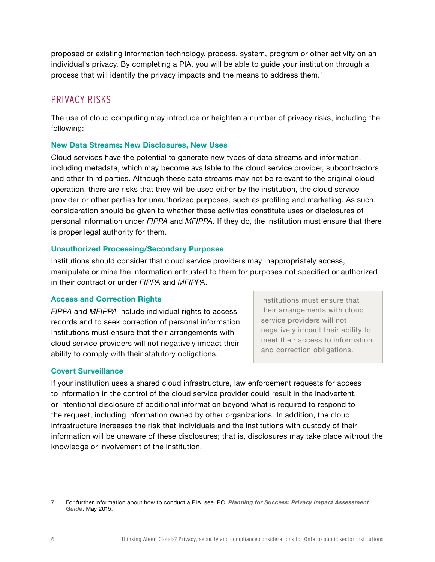proposed or existing information technology, process, system, program or other activity on an individual's privacy. By completing a PIA, you will be able to guide your institution through a process that will identify the privacy impacts and the means to address them.7

## PRIVACY RISKS

The use of cloud computing may introduce or heighten a number of privacy risks, including the following:

## **New Data Streams: New Disclosures, New Uses**

Cloud services have the potential to generate new types of data streams and information, including metadata, which may become available to the cloud service provider, subcontractors and other third parties. Although these data streams may not be relevant to the original cloud operation, there are risks that they will be used either by the institution, the cloud service provider or other parties for unauthorized purposes, such as profiling and marketing. As such, consideration should be given to whether these activities constitute uses or disclosures of personal information under *FIPPA* and *MFIPPA*. If they do, the institution must ensure that there is proper legal authority for them.

### **Unauthorized Processing/Secondary Purposes**

Institutions should consider that cloud service providers may inappropriately access, manipulate or mine the information entrusted to them for purposes not specified or authorized in their contract or under *FIPPA* and *MFIPPA*.

## **Access and Correction Rights**

*FIPPA* and *MFIPPA* include individual rights to access records and to seek correction of personal information. Institutions must ensure that their arrangements with cloud service providers will not negatively impact their ability to comply with their statutory obligations.

Institutions must ensure that their arrangements with cloud service providers will not negatively impact their ability to meet their access to information and correction obligations.

## **Covert Surveillance**

If your institution uses a shared cloud infrastructure, law enforcement requests for access to information in the control of the cloud service provider could result in the inadvertent, or intentional disclosure of additional information beyond what is required to respond to the request, including information owned by other organizations. In addition, the cloud infrastructure increases the risk that individuals and the institutions with custody of their information will be unaware of these disclosures; that is, disclosures may take place without the knowledge or involvement of the institution.

<sup>7</sup> For further information about how to conduct a PIA, see IPC, *[Planning for Success: Privacy Impact Assessment](https://www.ipc.on.ca/images/Resources/Planning for Success - PIA Guide.pdf)  [Guide](https://www.ipc.on.ca/images/Resources/Planning for Success - PIA Guide.pdf)*, May 2015.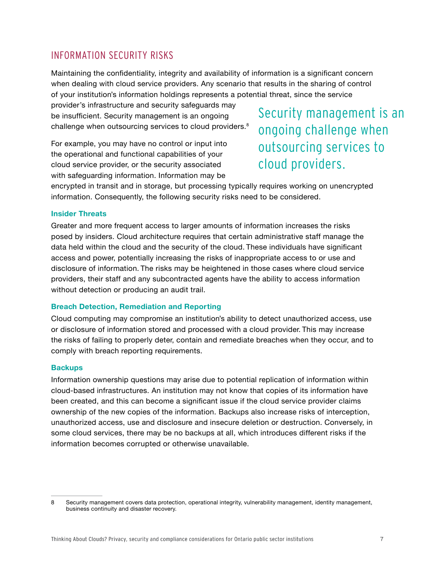# INFORMATION SECURITY RISKS

Maintaining the confidentiality, integrity and availability of information is a significant concern when dealing with cloud service providers. Any scenario that results in the sharing of control of your institution's information holdings represents a potential threat, since the service

provider's infrastructure and security safeguards may be insufficient. Security management is an ongoing challenge when outsourcing services to cloud providers.<sup>8</sup>

For example, you may have no control or input into the operational and functional capabilities of your cloud service provider, or the security associated with safeguarding information. Information may be

Security management is an ongoing challenge when outsourcing services to cloud providers.

encrypted in transit and in storage, but processing typically requires working on unencrypted information. Consequently, the following security risks need to be considered.

#### **Insider Threats**

Greater and more frequent access to larger amounts of information increases the risks posed by insiders. Cloud architecture requires that certain administrative staff manage the data held within the cloud and the security of the cloud. These individuals have significant access and power, potentially increasing the risks of inappropriate access to or use and disclosure of information. The risks may be heightened in those cases where cloud service providers, their staff and any subcontracted agents have the ability to access information without detection or producing an audit trail.

### **Breach Detection, Remediation and Reporting**

Cloud computing may compromise an institution's ability to detect unauthorized access, use or disclosure of information stored and processed with a cloud provider. This may increase the risks of failing to properly deter, contain and remediate breaches when they occur, and to comply with breach reporting requirements.

#### **Backups**

Information ownership questions may arise due to potential replication of information within cloud-based infrastructures. An institution may not know that copies of its information have been created, and this can become a significant issue if the cloud service provider claims ownership of the new copies of the information. Backups also increase risks of interception, unauthorized access, use and disclosure and insecure deletion or destruction. Conversely, in some cloud services, there may be no backups at all, which introduces different risks if the information becomes corrupted or otherwise unavailable.

<sup>8</sup> Security management covers data protection, operational integrity, vulnerability management, identity management, business continuity and disaster recovery.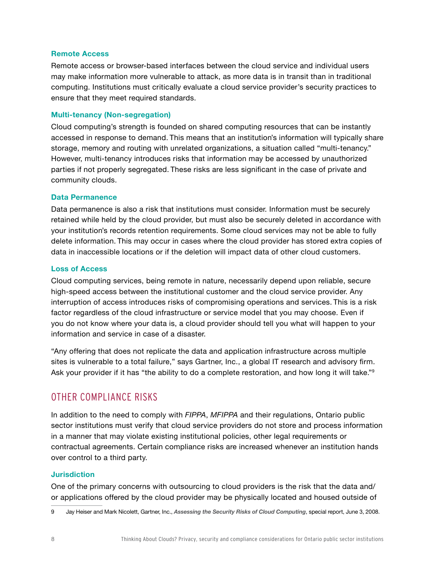#### **Remote Access**

Remote access or browser-based interfaces between the cloud service and individual users may make information more vulnerable to attack, as more data is in transit than in traditional computing. Institutions must critically evaluate a cloud service provider's security practices to ensure that they meet required standards.

### **Multi-tenancy (Non-segregation)**

Cloud computing's strength is founded on shared computing resources that can be instantly accessed in response to demand. This means that an institution's information will typically share storage, memory and routing with unrelated organizations, a situation called "multi-tenancy." However, multi-tenancy introduces risks that information may be accessed by unauthorized parties if not properly segregated. These risks are less significant in the case of private and community clouds.

#### **Data Permanence**

Data permanence is also a risk that institutions must consider. Information must be securely retained while held by the cloud provider, but must also be securely deleted in accordance with your institution's records retention requirements. Some cloud services may not be able to fully delete information. This may occur in cases where the cloud provider has stored extra copies of data in inaccessible locations or if the deletion will impact data of other cloud customers.

#### **Loss of Access**

Cloud computing services, being remote in nature, necessarily depend upon reliable, secure high-speed access between the institutional customer and the cloud service provider. Any interruption of access introduces risks of compromising operations and services. This is a risk factor regardless of the cloud infrastructure or service model that you may choose. Even if you do not know where your data is, a cloud provider should tell you what will happen to your information and service in case of a disaster.

"Any offering that does not replicate the data and application infrastructure across multiple sites is vulnerable to a total failure," says Gartner, Inc., a global IT research and advisory firm. Ask your provider if it has "the ability to do a complete restoration, and how long it will take."<sup>9</sup>

## OTHER COMPLIANCE RISKS

In addition to the need to comply with *FIPPA*, *MFIPPA* and their regulations, Ontario public sector institutions must verify that cloud service providers do not store and process information in a manner that may violate existing institutional policies, other legal requirements or contractual agreements. Certain compliance risks are increased whenever an institution hands over control to a third party.

### **Jurisdiction**

One of the primary concerns with outsourcing to cloud providers is the risk that the data and/ or applications offered by the cloud provider may be physically located and housed outside of

<sup>9</sup> Jay Heiser and Mark Nicolett, Gartner, Inc., *[Assessing the Security Risks of Cloud Computing](https://www.gartner.com/doc/685308/assessing-security-risks-cloud-computing)*, special report, June 3, 2008.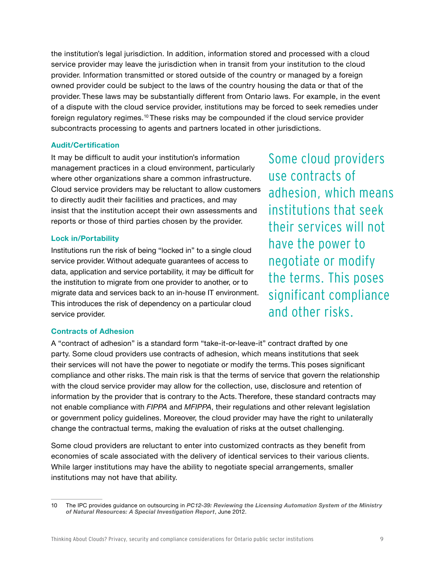the institution's legal jurisdiction. In addition, information stored and processed with a cloud service provider may leave the jurisdiction when in transit from your institution to the cloud provider. Information transmitted or stored outside of the country or managed by a foreign owned provider could be subject to the laws of the country housing the data or that of the provider. These laws may be substantially different from Ontario laws. For example, in the event of a dispute with the cloud service provider, institutions may be forced to seek remedies under foreign regulatory regimes.10 These risks may be compounded if the cloud service provider subcontracts processing to agents and partners located in other jurisdictions.

#### **Audit/Certification**

It may be difficult to audit your institution's information management practices in a cloud environment, particularly where other organizations share a common infrastructure. Cloud service providers may be reluctant to allow customers to directly audit their facilities and practices, and may insist that the institution accept their own assessments and reports or those of third parties chosen by the provider.

### **Lock in/Portability**

Institutions run the risk of being "locked in" to a single cloud service provider. Without adequate guarantees of access to data, application and service portability, it may be difficult for the institution to migrate from one provider to another, or to migrate data and services back to an in-house IT environment. This introduces the risk of dependency on a particular cloud service provider.

Some cloud providers use contracts of adhesion, which means institutions that seek their services will not have the power to negotiate or modify the terms. This poses significant compliance and other risks.

#### **Contracts of Adhesion**

A "contract of adhesion" is a standard form "take-it-or-leave-it" contract drafted by one party. Some cloud providers use contracts of adhesion, which means institutions that seek their services will not have the power to negotiate or modify the terms. This poses significant compliance and other risks. The main risk is that the terms of service that govern the relationship with the cloud service provider may allow for the collection, use, disclosure and retention of information by the provider that is contrary to the Acts. Therefore, these standard contracts may not enable compliance with *FIPPA* and *MFIPPA*, their regulations and other relevant legislation or government policy guidelines. Moreover, the cloud provider may have the right to unilaterally change the contractual terms, making the evaluation of risks at the outset challenging.

Some cloud providers are reluctant to enter into customized contracts as they benefit from economies of scale associated with the delivery of identical services to their various clients. While larger institutions may have the ability to negotiate special arrangements, smaller institutions may not have that ability.

<sup>10</sup> The IPC provides guidance on outsourcing in *[PC12-39: Reviewing the Licensing Automation System of the Ministry](https://www.ipc.on.ca/images/Findings/2012-06-28-MNR_report.pdf)  [of Natural Resources: A Special Investigation Report](https://www.ipc.on.ca/images/Findings/2012-06-28-MNR_report.pdf)*, June 2012.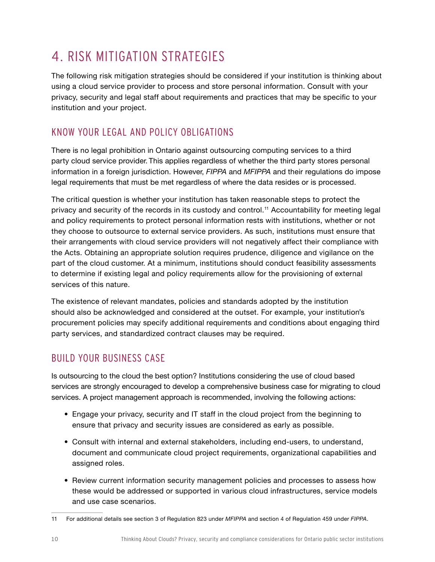# <span id="page-11-0"></span>4. RISK MITIGATION STRATEGIES

The following risk mitigation strategies should be considered if your institution is thinking about using a cloud service provider to process and store personal information. Consult with your privacy, security and legal staff about requirements and practices that may be specific to your institution and your project.

# KNOW YOUR LEGAL AND POLICY OBLIGATIONS

There is no legal prohibition in Ontario against outsourcing computing services to a third party cloud service provider. This applies regardless of whether the third party stores personal information in a foreign jurisdiction. However, *FIPPA* and *MFIPPA* and their regulations do impose legal requirements that must be met regardless of where the data resides or is processed.

The critical question is whether your institution has taken reasonable steps to protect the privacy and security of the records in its custody and control.11 Accountability for meeting legal and policy requirements to protect personal information rests with institutions, whether or not they choose to outsource to external service providers. As such, institutions must ensure that their arrangements with cloud service providers will not negatively affect their compliance with the Acts. Obtaining an appropriate solution requires prudence, diligence and vigilance on the part of the cloud customer. At a minimum, institutions should conduct feasibility assessments to determine if existing legal and policy requirements allow for the provisioning of external services of this nature.

The existence of relevant mandates, policies and standards adopted by the institution should also be acknowledged and considered at the outset. For example, your institution's procurement policies may specify additional requirements and conditions about engaging third party services, and standardized contract clauses may be required.

# BUILD YOUR BUSINESS CASE

Is outsourcing to the cloud the best option? Institutions considering the use of cloud based services are strongly encouraged to develop a comprehensive business case for migrating to cloud services. A project management approach is recommended, involving the following actions:

- Engage your privacy, security and IT staff in the cloud project from the beginning to ensure that privacy and security issues are considered as early as possible.
- Consult with internal and external stakeholders, including end-users, to understand, document and communicate cloud project requirements, organizational capabilities and assigned roles.
- Review current information security management policies and processes to assess how these would be addressed or supported in various cloud infrastructures, service models and use case scenarios.

<sup>11</sup> For additional details see section 3 of Regulation 823 under *MFIPPA* and section 4 of Regulation 459 under *FIPPA*.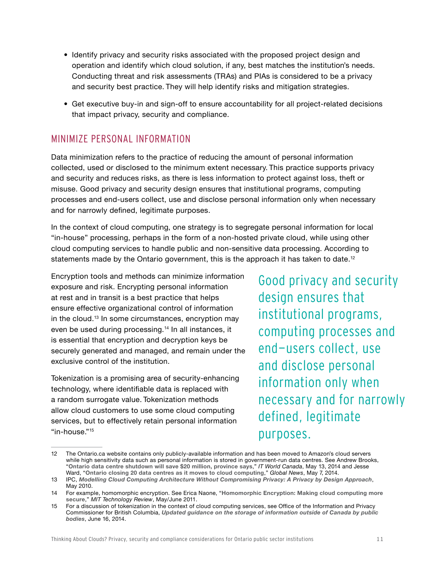- Identify privacy and security risks associated with the proposed project design and operation and identify which cloud solution, if any, best matches the institution's needs. Conducting threat and risk assessments (TRAs) and PIAs is considered to be a privacy and security best practice. They will help identify risks and mitigation strategies.
- Get executive buy-in and sign-off to ensure accountability for all project-related decisions that impact privacy, security and compliance.

# MINIMIZE PERSONAL INFORMATION

Data minimization refers to the practice of reducing the amount of personal information collected, used or disclosed to the minimum extent necessary. This practice supports privacy and security and reduces risks, as there is less information to protect against loss, theft or misuse. Good privacy and security design ensures that institutional programs, computing processes and end-users collect, use and disclose personal information only when necessary and for narrowly defined, legitimate purposes.

In the context of cloud computing, one strategy is to segregate personal information for local "in-house" processing, perhaps in the form of a non-hosted private cloud, while using other cloud computing services to handle public and non-sensitive data processing. According to statements made by the Ontario government, this is the approach it has taken to date.<sup>12</sup>

Encryption tools and methods can minimize information exposure and risk. Encrypting personal information at rest and in transit is a best practice that helps ensure effective organizational control of information in the cloud.<sup>13</sup> In some circumstances, encryption may even be used during processing.<sup>14</sup> In all instances, it is essential that encryption and decryption keys be securely generated and managed, and remain under the exclusive control of the institution.

Tokenization is a promising area of security-enhancing technology, where identifiable data is replaced with a random surrogate value. Tokenization methods allow cloud customers to use some cloud computing services, but to effectively retain personal information "in-house."15

Good privacy and security design ensures that institutional programs, computing processes and end-users collect, use and disclose personal information only when necessary and for narrowly defined, legitimate purposes.

<sup>12</sup> The Ontario.ca website contains only publicly-available information and has been moved to Amazon's cloud servers while high sensitivity data such as personal information is stored in government-run data centres. See Andrew Brooks, "**[Ontario data centre shutdown will save \\$20 million, province says](http://www.itworldcanada.com/article/ontario-data-centre-shutdown-will-save-20-million-province-says/93166)**," *IT World Canada*, May 13, 2014 and Jesse Ward, "**[Ontario closing 20 data centres as it moves to cloud computing](http://globalnews.ca/news/1316618/ontario-closing-20-data-centres-as-it-moves-to-cloud-computing/)**," *Global News*, May 7, 2014.

<sup>13</sup> IPC, *[Modelling Cloud Computing Architecture Without Compromising Privacy: A Privacy by Design Approach](https://www.ipc.on.ca/images/resources/pbd-NEC-cloud.pdf)*, May 2010.

<sup>14</sup> For example, homomorphic encryption. See Erica Naone, "**[Homomorphic Encryption: Making cloud computing more](http://www2.technologyreview.com/article/423683/homomorphic-encryption/)  [secure](http://www2.technologyreview.com/article/423683/homomorphic-encryption/)**," *MIT Technology Review*, May/June 2011.

<sup>15</sup> For a discussion of tokenization in the context of cloud computing services, see Office of the Information and Privacy Commissioner for British Columbia, *[Updated guidance on the storage of information outside of Canada by public](https://www.oipc.bc.ca/public-comments/1649)  [bodies](https://www.oipc.bc.ca/public-comments/1649)*, June 16, 2014.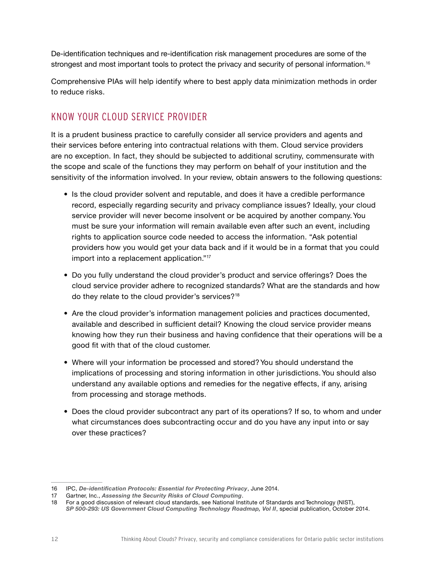De-identification techniques and re-identification risk management procedures are some of the strongest and most important tools to protect the privacy and security of personal information.<sup>16</sup>

Comprehensive PIAs will help identify where to best apply data minimization methods in order to reduce risks.

# KNOW YOUR CLOUD SERVICE PROVIDER

It is a prudent business practice to carefully consider all service providers and agents and their services before entering into contractual relations with them. Cloud service providers are no exception. In fact, they should be subjected to additional scrutiny, commensurate with the scope and scale of the functions they may perform on behalf of your institution and the sensitivity of the information involved. In your review, obtain answers to the following questions:

- Is the cloud provider solvent and reputable, and does it have a credible performance record, especially regarding security and privacy compliance issues? Ideally, your cloud service provider will never become insolvent or be acquired by another company. You must be sure your information will remain available even after such an event, including rights to application source code needed to access the information. "Ask potential providers how you would get your data back and if it would be in a format that you could import into a replacement application."17
- Do you fully understand the cloud provider's product and service offerings? Does the cloud service provider adhere to recognized standards? What are the standards and how do they relate to the cloud provider's services?<sup>18</sup>
- Are the cloud provider's information management policies and practices documented, available and described in sufficient detail? Knowing the cloud service provider means knowing how they run their business and having confidence that their operations will be a good fit with that of the cloud customer.
- Where will your information be processed and stored? You should understand the implications of processing and storing information in other jurisdictions. You should also understand any available options and remedies for the negative effects, if any, arising from processing and storage methods.
- Does the cloud provider subcontract any part of its operations? If so, to whom and under what circumstances does subcontracting occur and do you have any input into or say over these practices?

<sup>16</sup> IPC, *[De-identification Protocols: Essential for Protecting Privacy](https://www.ipc.on.ca/images/Resources/pbd-de-identifcation_essential.pdf)*, June 2014.

<sup>17</sup> Gartner, Inc., *[Assessing the Security Risks of Cloud Computing](https://www.gartner.com/doc/685308/assessing-security-risks-cloud-computing)*.

<sup>18</sup> For a good discussion of relevant cloud standards, see National Institute of Standards and Technology (NIST), [SP 500-293: US Government Cloud Computing Technology Roadmap, Vol II](http://nvlpubs.nist.gov/nistpubs/SpecialPublications/NIST.SP.500-293.pdf), special publication, October 2014.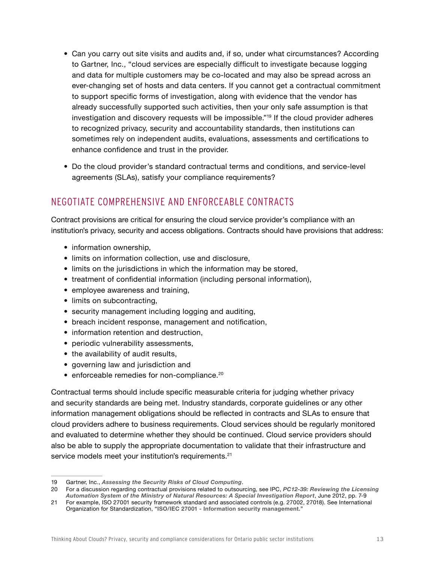- Can you carry out site visits and audits and, if so, under what circumstances? According to Gartner, Inc., "cloud services are especially difficult to investigate because logging and data for multiple customers may be co-located and may also be spread across an ever-changing set of hosts and data centers. If you cannot get a contractual commitment to support specific forms of investigation, along with evidence that the vendor has already successfully supported such activities, then your only safe assumption is that investigation and discovery requests will be impossible."19 If the cloud provider adheres to recognized privacy, security and accountability standards, then institutions can sometimes rely on independent audits, evaluations, assessments and certifications to enhance confidence and trust in the provider.
- Do the cloud provider's standard contractual terms and conditions, and service-level agreements (SLAs), satisfy your compliance requirements?

# NEGOTIATE COMPREHENSIVE AND ENFORCEABLE CONTRACTS

Contract provisions are critical for ensuring the cloud service provider's compliance with an institution's privacy, security and access obligations. Contracts should have provisions that address:

- information ownership.
- limits on information collection, use and disclosure,
- limits on the jurisdictions in which the information may be stored,
- treatment of confidential information (including personal information),
- employee awareness and training,
- limits on subcontracting,
- security management including logging and auditing,
- breach incident response, management and notification,
- information retention and destruction,
- periodic vulnerability assessments,
- the availability of audit results,
- governing law and jurisdiction and
- enforceable remedies for non-compliance.<sup>20</sup>

Contractual terms should include specific measurable criteria for judging whether privacy and security standards are being met. Industry standards, corporate guidelines or any other information management obligations should be reflected in contracts and SLAs to ensure that cloud providers adhere to business requirements. Cloud services should be regularly monitored and evaluated to determine whether they should be continued. Cloud service providers should also be able to supply the appropriate documentation to validate that their infrastructure and service models meet your institution's requirements.<sup>21</sup>

<sup>19</sup> Gartner, Inc., *[Assessing the Security Risks of Cloud Computing](https://www.gartner.com/doc/685308/assessing-security-risks-cloud-computing)*.

<sup>20</sup> For a discussion regarding contractual provisions related to outsourcing, see IPC, *[PC12-39: Reviewing the Licensing](https://www.ipc.on.ca/images/Findings/2012-06-28-MNR_report.pdf)  [Automation System of the Ministry of Natural Resources: A Special Investigation Report](https://www.ipc.on.ca/images/Findings/2012-06-28-MNR_report.pdf)*, June 2012, pp. 7-9

<sup>21</sup> For example, ISO 27001 security framework standard and associated controls (e.g. 27002, 27018). See International Organization for Standardization, "**[ISO/IEC 27001 - Information security management.](http://www.iso.org/iso/home/standards/management-standards/iso27001.htm)**"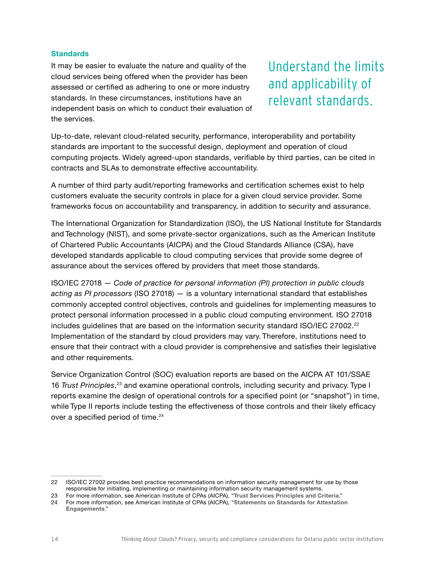### **Standards**

It may be easier to evaluate the nature and quality of the cloud services being offered when the provider has been assessed or certified as adhering to one or more industry standards. In these circumstances, institutions have an independent basis on which to conduct their evaluation of the services.

Understand the limits and applicability of relevant standards.

Up-to-date, relevant cloud-related security, performance, interoperability and portability standards are important to the successful design, deployment and operation of cloud computing projects. Widely agreed-upon standards, verifiable by third parties, can be cited in contracts and SLAs to demonstrate effective accountability.

A number of third party audit/reporting frameworks and certification schemes exist to help customers evaluate the security controls in place for a given cloud service provider. Some frameworks focus on accountability and transparency, in addition to security and assurance.

The International Organization for Standardization (ISO), the US National Institute for Standards and Technology (NIST), and some private-sector organizations, such as the American Institute of Chartered Public Accountants (AICPA) and the Cloud Standards Alliance (CSA), have developed standards applicable to cloud computing services that provide some degree of assurance about the services offered by providers that meet those standards.

ISO/IEC 27018 — *Code of practice for personal information (PI) protection in public clouds acting as PI processors* (ISO 27018) — is a voluntary international standard that establishes commonly accepted control objectives, controls and guidelines for implementing measures to protect personal information processed in a public cloud computing environment. ISO 27018 includes guidelines that are based on the information security standard ISO/IEC 27002.<sup>22</sup> Implementation of the standard by cloud providers may vary. Therefore, institutions need to ensure that their contract with a cloud provider is comprehensive and satisfies their legislative and other requirements.

Service Organization Control (SOC) evaluation reports are based on the AICPA AT 101/SSAE 16 *Trust Principles*, 23 and examine operational controls, including security and privacy. Type I reports examine the design of operational controls for a specified point (or "snapshot") in time, while Type II reports include testing the effectiveness of those controls and their likely efficacy over a specified period of time.<sup>24</sup>

<sup>22</sup> ISO/IEC 27002 provides best practice recommendations on information security management for use by those responsible for initiating, implementing or maintaining information security management systems.

<sup>23</sup> For more information, see American Institute of CPAs (AICPA), "**[Trust Services Principles and Criteria](http://www.aicpa.org/InterestAreas/InformationTechnology/Resources/SOC/TrustServices/Pages/Trust Services Principles%E2%80%94An Overview.aspx)**."

<sup>24</sup> For more information, see American Institute of CPAs (AICPA), "**[Statements on Standards for Attestation](http://www.aicpa.org/Research/Standards/AuditAttest/Pages/SSAE.aspx)  [Engagements](http://www.aicpa.org/Research/Standards/AuditAttest/Pages/SSAE.aspx)**."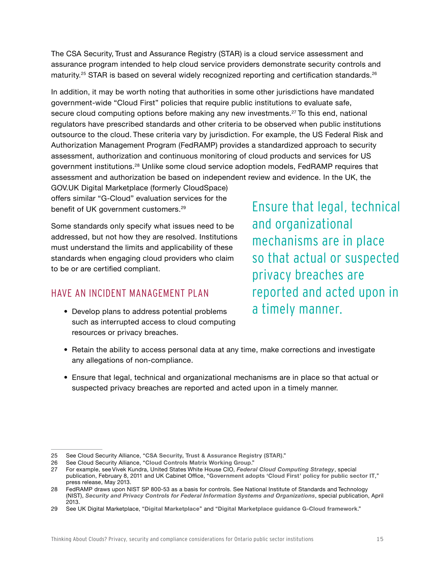The CSA Security, Trust and Assurance Registry (STAR) is a cloud service assessment and assurance program intended to help cloud service providers demonstrate security controls and maturity.<sup>25</sup> STAR is based on several widely recognized reporting and certification standards.<sup>26</sup>

In addition, it may be worth noting that authorities in some other jurisdictions have mandated government-wide "Cloud First" policies that require public institutions to evaluate safe, secure cloud computing options before making any new investments.<sup>27</sup> To this end, national regulators have prescribed standards and other criteria to be observed when public institutions outsource to the cloud. These criteria vary by jurisdiction. For example, the US Federal Risk and Authorization Management Program (FedRAMP) provides a standardized approach to security assessment, authorization and continuous monitoring of cloud products and services for US government institutions.28 Unlike some cloud service adoption models, FedRAMP requires that assessment and authorization be based on independent review and evidence. In the UK, the

GOV.UK Digital Marketplace (formerly CloudSpace) offers similar "G-Cloud" evaluation services for the benefit of UK government customers.<sup>29</sup>

Some standards only specify what issues need to be addressed, but not how they are resolved. Institutions must understand the limits and applicability of these standards when engaging cloud providers who claim to be or are certified compliant.

## HAVE AN INCIDENT MANAGEMENT PLAN

• Develop plans to address potential problems such as interrupted access to cloud computing resources or privacy breaches.

Ensure that legal, technical and organizational mechanisms are in place so that actual or suspected privacy breaches are reported and acted upon in a timely manner.

- Retain the ability to access personal data at any time, make corrections and investigate any allegations of non-compliance.
- Ensure that legal, technical and organizational mechanisms are in place so that actual or suspected privacy breaches are reported and acted upon in a timely manner.

<sup>25</sup> See Cloud Security Alliance, "**[CSA Security, Trust & Assurance Registry \(STAR\)](https://cloudsecurityalliance.org/star/)**."

<sup>26</sup> See Cloud Security Alliance, "**[Cloud Controls Matrix Working Group](https://cloudsecurityalliance.org/group/cloud-controls-matrix/)**."

<sup>27</sup> For example, see Vivek Kundra, United States White House CIO, *[Federal Cloud Computing Strategy](https://www.whitehouse.gov/sites/default/files/omb/assets/egov_docs/federal-cloud-computing-strategy.pdf)*, special publication, February 8, 2011 and UK Cabinet Office, "**[Government adopts 'Cloud First' policy for public sector IT](https://www.gov.uk/government/news/government-adopts-cloud-first-policy-for-public-sector-it)**," press release, May 2013.

<sup>28</sup> FedRAMP draws upon NIST SP 800-53 as a basis for controls. See National Institute of Standards and Technology (NIST), *[Security and Privacy Controls for Federal Information Systems and Organizations](http://nvlpubs.nist.gov/nistpubs/SpecialPublications/NIST.SP.800-53r4.pdf)*, special publication, April 2013.

<sup>29</sup> See UK Digital Marketplace, "**[Digital Marketplace](https://www.digitalmarketplace.service.gov.uk)**" and "**[Digital Marketplace guidance G-Cloud framework](https://www.digitalmarketplace.service.gov.uk/g-cloud/framework)**."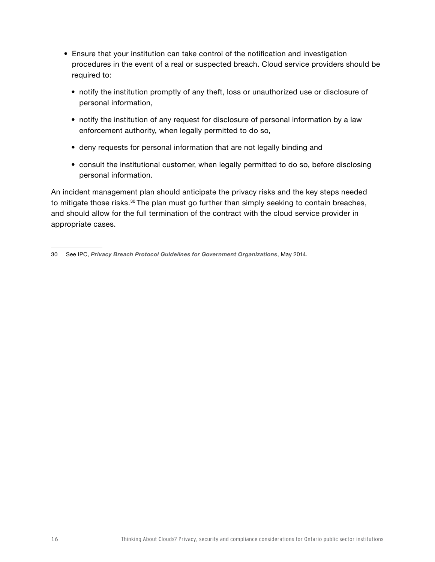- Ensure that your institution can take control of the notification and investigation procedures in the event of a real or suspected breach. Cloud service providers should be required to:
	- notify the institution promptly of any theft, loss or unauthorized use or disclosure of personal information,
	- notify the institution of any request for disclosure of personal information by a law enforcement authority, when legally permitted to do so,
	- deny requests for personal information that are not legally binding and
	- consult the institutional customer, when legally permitted to do so, before disclosing personal information.

An incident management plan should anticipate the privacy risks and the key steps needed to mitigate those risks.<sup>30</sup> The plan must go further than simply seeking to contain breaches, and should allow for the full termination of the contract with the cloud service provider in appropriate cases.

<sup>30</sup> See IPC, *[Privacy Breach Protocol Guidelines for Government Organizations](https://www.ipc.on.ca/images/Resources/Privacy-Breach-e.pdf)*, May 2014.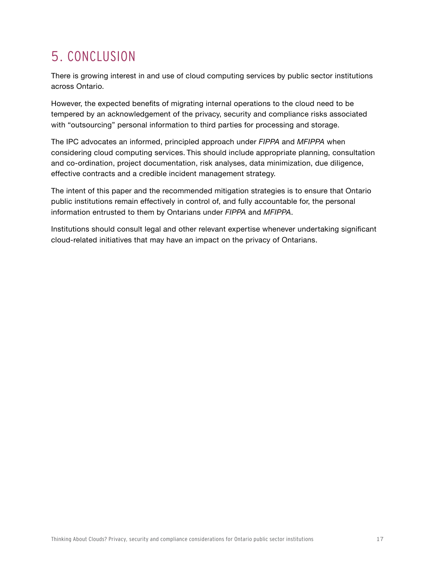# <span id="page-18-0"></span>5. CONCLUSION

There is growing interest in and use of cloud computing services by public sector institutions across Ontario.

However, the expected benefits of migrating internal operations to the cloud need to be tempered by an acknowledgement of the privacy, security and compliance risks associated with "outsourcing" personal information to third parties for processing and storage.

The IPC advocates an informed, principled approach under *FIPPA* and *MFIPPA* when considering cloud computing services. This should include appropriate planning, consultation and co-ordination, project documentation, risk analyses, data minimization, due diligence, effective contracts and a credible incident management strategy.

The intent of this paper and the recommended mitigation strategies is to ensure that Ontario public institutions remain effectively in control of, and fully accountable for, the personal information entrusted to them by Ontarians under *FIPPA* and *MFIPPA*.

Institutions should consult legal and other relevant expertise whenever undertaking significant cloud-related initiatives that may have an impact on the privacy of Ontarians.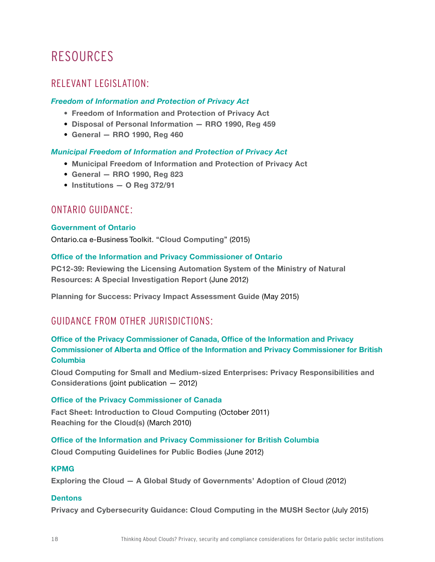# <span id="page-19-0"></span>RESOURCES

## RELEVANT LEGISLATION:

## *Freedom of Information and Protection of Privacy Act*

- **• [Freedom of Information and Protection of Privacy Act](http://www.e-laws.gov.on.ca/html/statutes/english/elaws_statutes_90f31_e.htm)**
- **[Disposal of Personal Information RRO 1990, Reg 459](http://www.e-laws.gov.on.ca/html/regs/english/elaws_regs_900459_e.htm)**
- **[General RRO 1990, Reg 460](http://www.e-laws.gov.on.ca/html/regs/english/elaws_regs_900460_e.htm)**

## *Municipal Freedom of Information and Protection of Privacy Act*

- **[Municipal Freedom of Information and Protection of Privacy Act](http://www.e-laws.gov.on.ca/html/statutes/english/elaws_statutes_90m56_e.htm)**
- **[General RRO 1990, Reg 823](http://www.e-laws.gov.on.ca/html/regs/english/elaws_regs_900823_e.htm)**
- **[Institutions O Reg 372/91](http://www.e-laws.gov.on.ca/html/regs/english/elaws_regs_910372_e.htm)**

## ONTARIO GUIDANCE:

### **Government of Ontario**

Ontario.ca e-Business Toolkit. "**[Cloud Computing](https://www.ontario.ca/document/cloud-computing)**" (2015)

## **Office of the Information and Privacy Commissioner of Ontario**

**[PC12-39: Reviewing the Licensing Automation System of the Ministry of Natural](https://www.ipc.on.ca/images/Findings/2012-06-28-MNR_report.pdf)  [Resources: A Special Investigation Report](https://www.ipc.on.ca/images/Findings/2012-06-28-MNR_report.pdf)** (June 2012)

**[Planning for Success: Privacy Impact Assessment Guide](https://www.ipc.on.ca/images/Resources/Planning%20for%20Success%20-%20PIA%20Guide.pdf)** (May 2015)

## GUIDANCE FROM OTHER JURISDICTIONS:

## **Office of the Privacy Commissioner of Canada, Office of the Information and Privacy Commissioner of Alberta and Office of the Information and Privacy Commissioner for British Columbia**

**[Cloud Computing for Small and Medium-sized Enterprises: Privacy Responsibilities and](https://www.priv.gc.ca/information/pub/gd_cc_201206_e.asp)  [Considerations](https://www.priv.gc.ca/information/pub/gd_cc_201206_e.asp)** (joint publication — 2012)

## **Office of the Privacy Commissioner of Canada**

**[Fact Sheet: Introduction to Cloud Computing](https://www.priv.gc.ca/resource/fs-fi/02_05_d_51_cc_e.pdf)** (October 2011) **[Reaching for the Cloud\(s\)](https://www.priv.gc.ca/information/research-recherche/2010/cc_201003_e.pdf)** (March 2010)

**Office of the Information and Privacy Commissioner for British Columbia** 

**[Cloud Computing Guidelines for Public Bodies](https://www.oipc.bc.ca/guidance-documents/1427)** (June 2012)

### **KPMG**

**[Exploring the Cloud — A Global Study of Governments' Adoption of Cloud](http://www.kpmg.com/CZ/cs/IssuesAndInsights/ArticlesPublications/Press-releases/Documents/KPMG-Exploring-the-Cloud.pdf)** (2012)

### **Dentons**

**[Privacy and Cybersecurity Guidance: Cloud Computing in the MUSH Sector](http://www.c3rm.org/assets/Dentons_Privacy_and_Security_Guidance_-_final_13697.pdf)** (July 2015)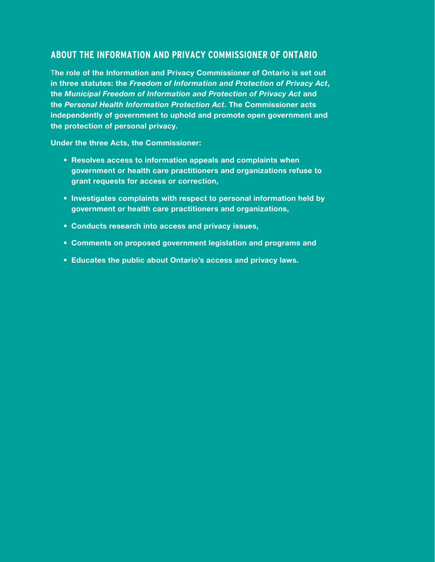## **ABOUT THE INFORMATION AND PRIVACY COMMISSIONER OF ONTARIO**

T**he role of the Information and Privacy Commissioner of Ontario is set out in three statutes: the** *Freedom of Information and Protection of Privacy Act***, the** *Municipal Freedom of Information and Protection of Privacy Act* **and the** *Personal Health Information Protection Act***. The Commissioner acts independently of government to uphold and promote open government and the protection of personal privacy.**

**Under the three Acts, the Commissioner:**

- **• Resolves access to information appeals and complaints when government or health care practitioners and organizations refuse to grant requests for access or correction,**
- **• Investigates complaints with respect to personal information held by government or health care practitioners and organizations,**
- **• Conducts research into access and privacy issues,**
- **• Comments on proposed government legislation and programs and**
- **• Educates the public about Ontario's access and privacy laws.**